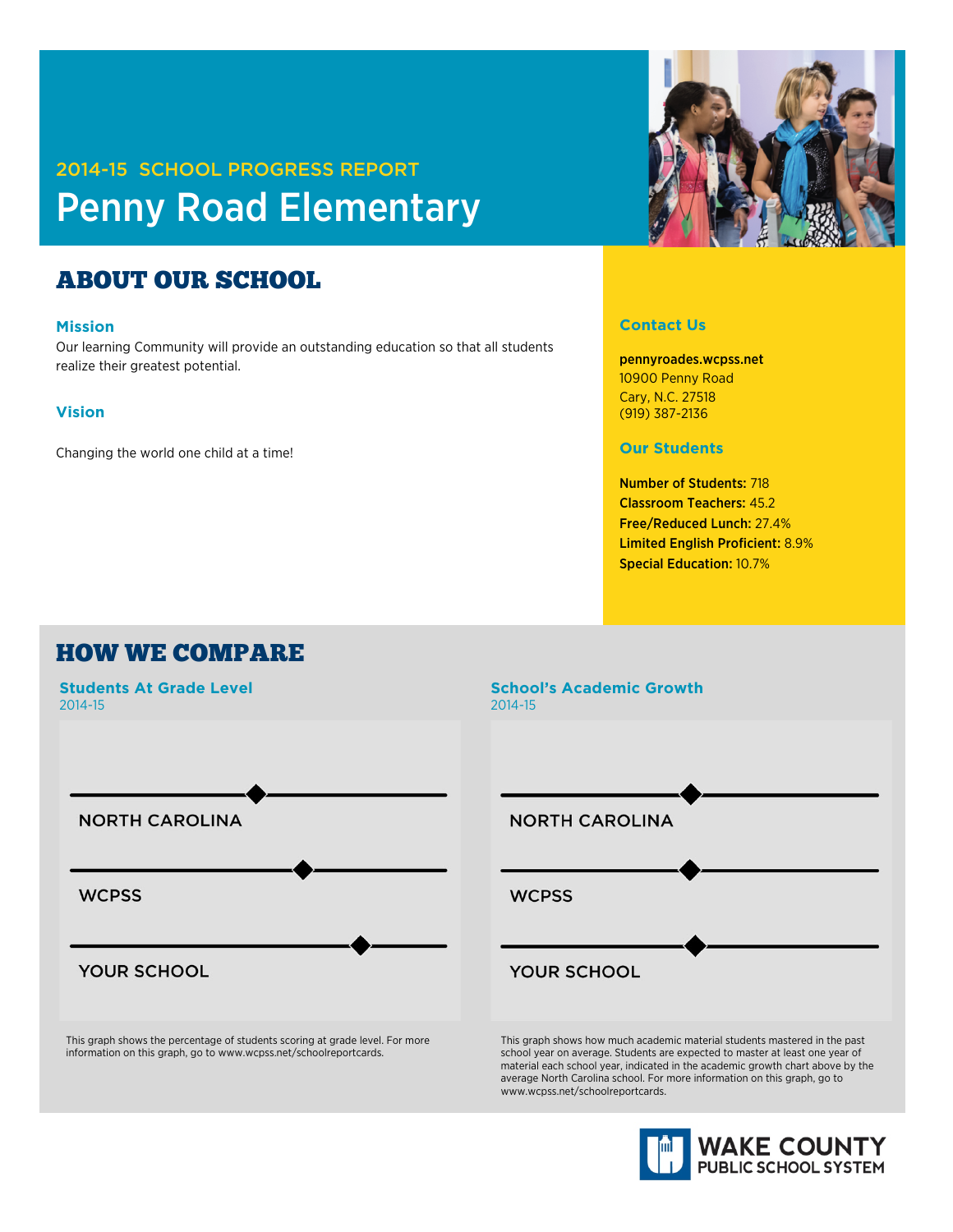# 2014-15 SCHOOL PROGRESS REPORT Penny Road Elementary

## ABOUT OUR SCHOOL

#### **Mission**

Our learning Community will provide an outstanding education so that all students realize their greatest potential.

#### **Vision**

Changing the world one child at a time!



#### **Contact Us**

pennyroades.wcpss.net 10900 Penny Road Cary, N.C. 27518 (919) 387-2136

**Our Students**

Number of Students: 718 Classroom Teachers: 45.2 Free/Reduced Lunch: 27.4% Limited English Proficient: 8.9% Special Education: 10.7%

### HOW WE COMPARE



This graph shows the percentage of students scoring at grade level. For more information on this graph, go to www.wcpss.net/schoolreportcards.

### **School's Academic Growth** 2014-15



This graph shows how much academic material students mastered in the past school year on average. Students are expected to master at least one year of material each school year, indicated in the academic growth chart above by the average North Carolina school. For more information on this graph, go to www.wcpss.net/schoolreportcards.